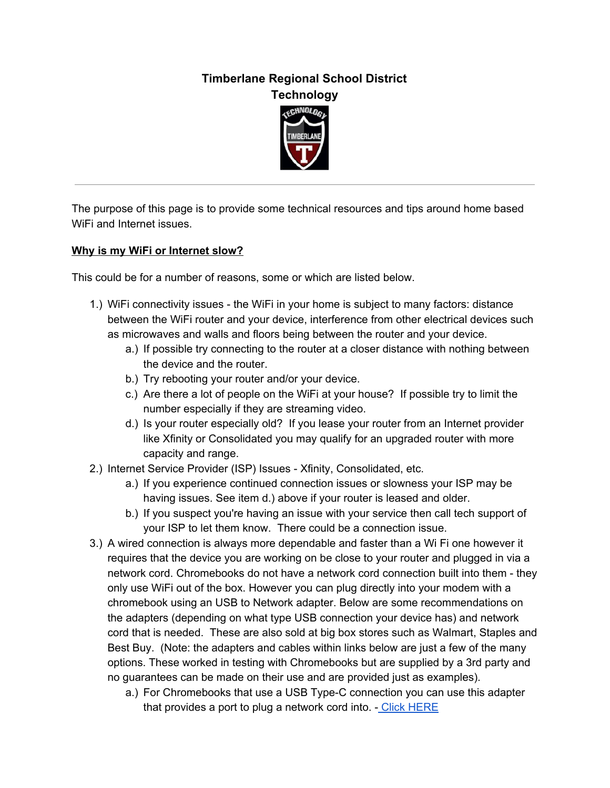## **Timberlane Regional School District Technology**



The purpose of this page is to provide some technical resources and tips around home based WiFi and Internet issues.

## **Why is my WiFi or Internet slow?**

This could be for a number of reasons, some or which are listed below.

- 1.) WiFi connectivity issues the WiFi in your home is subject to many factors: distance between the WiFi router and your device, interference from other electrical devices such as microwaves and walls and floors being between the router and your device.
	- a.) If possible try connecting to the router at a closer distance with nothing between the device and the router.
	- b.) Try rebooting your router and/or your device.
	- c.) Are there a lot of people on the WiFi at your house? If possible try to limit the number especially if they are streaming video.
	- d.) Is your router especially old? If you lease your router from an Internet provider like Xfinity or Consolidated you may qualify for an upgraded router with more capacity and range.
- 2.) Internet Service Provider (ISP) Issues Xfinity, Consolidated, etc.
	- a.) If you experience continued connection issues or slowness your ISP may be having issues. See item d.) above if your router is leased and older.
	- b.) If you suspect you're having an issue with your service then call tech support of your ISP to let them know. There could be a connection issue.
- 3.) A wired connection is always more dependable and faster than a Wi Fi one however it requires that the device you are working on be close to your router and plugged in via a network cord. Chromebooks do not have a network cord connection built into them - they only use WiFi out of the box. However you can plug directly into your modem with a chromebook using an USB to Network adapter. Below are some recommendations on the adapters (depending on what type USB connection your device has) and network cord that is needed. These are also sold at big box stores such as Walmart, Staples and Best Buy. (Note: the adapters and cables within links below are just a few of the many options. These worked in testing with Chromebooks but are supplied by a 3rd party and no guarantees can be made on their use and are provided just as examples).
	- a.) For Chromebooks that use a USB Type-C connection you can use this adapter that provides a port to plug a network cord into. - Click [HERE](https://www.belkin.com/us/p/P-F2CU040/)